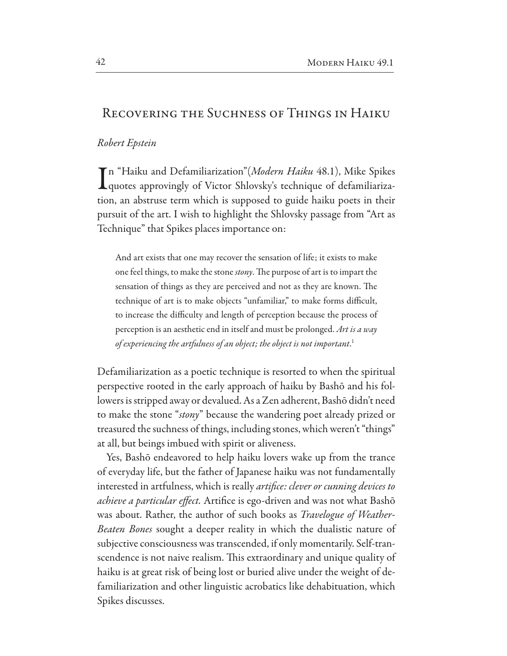## **RECOVERING THE SUCHNESS OF THINGS IN HAIKU**

## Robert Epstein

Tn "Haiku and Defamiliarization" (Modern Haiku 48.1), Mike Spikes Lquotes approvingly of Victor Shlovsky's technique of defamiliarization, an abstruse term which is supposed to guide haiku poets in their pursuit of the art. I wish to highlight the Shlovsky passage from "Art as Technique" that Spikes places importance on:

And art exists that one may recover the sensation of life; it exists to make one feel things, to make the stone *stony*. The purpose of art is to impart the sensation of things as they are perceived and not as they are known. The technique of art is to make objects "unfamiliar," to make forms difficult, to increase the difficulty and length of perception because the process of perception is an aesthetic end in itself and must be prolonged. Art is a way of experiencing the artfulness of an object; the object is not important.<sup>1</sup>

Defamiliarization as a poetic technique is resorted to when the spiritual perspective rooted in the early approach of haiku by Bashō and his followers is stripped away or devalued. As a Zen adherent, Bashō didn't need to make the stone "*stony*" because the wandering poet already prized or treasured the suchness of things, including stones, which weren't "things" at all, but beings imbued with spirit or aliveness.

Yes, Bashō endeavored to help haiku lovers wake up from the trance of everyday life, but the father of Japanese haiku was not fundamentally interested in artfulness, which is really artifice: clever or cunning devices to achieve a particular effect. Artifice is ego-driven and was not what Bashō was about. Rather, the author of such books as *Travelogue of Weather-*Beaten Bones sought a deeper reality in which the dualistic nature of subjective consciousness was transcended, if only momentarily. Self-transcendence is not naive realism. This extraordinary and unique quality of haiku is at great risk of being lost or buried alive under the weight of defamiliarization and other linguistic acrobatics like dehabituation, which Spikes discusses.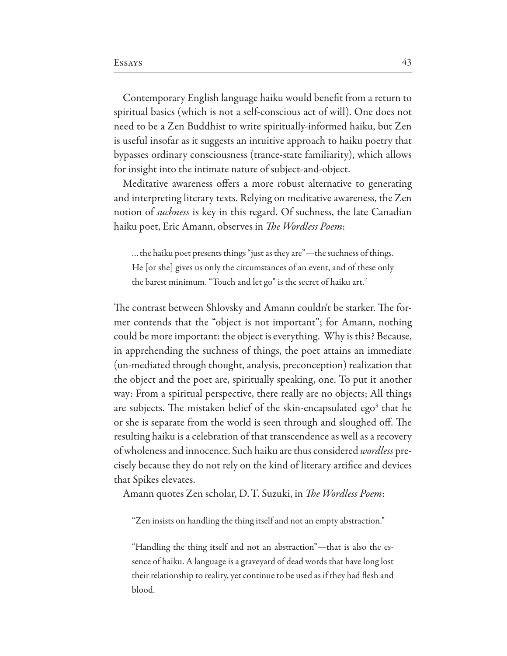Contemporary English language haiku would benefit from a return to spiritual basics (which is not a self-conscious act of will). One does not need to be a Zen Buddhist to write spiritually-informed haiku, but Zen is useful insofar as it suggests an intuitive approach to haiku poetry that bypasses ordinary consciousness (trance-state familiarity), which allows for insight into the intimate nature of subject-and-object.

Meditative awareness offers a more robust alternative to generating and interpreting literary texts. Relying on meditative awareness, the Zen notion of *suchness* is key in this regard. Of suchness, the late Canadian haiku poet, Eric Amann, observes in The Wordless Poem:

... the haiku poet presents things "just as they are"—the suchness of things. He [or she] gives us only the circumstances of an event, and of these only the barest minimum. "Touch and let go" is the secret of haiku art.<sup>2</sup>

The contrast between Shlovsky and Amann couldn't be starker. The former contends that the "object is not important"; for Amann, nothing could be more important: the object is everything. Why is this? Because, in apprehending the suchness of things, the poet attains an immediate (un-mediated through thought, analysis, preconception) realization that the object and the poet are, spiritually speaking, one. To put it another way: From a spiritual perspective, there really are no objects; All things are subjects. The mistaken belief of the skin-encapsulated ego<sup>3</sup> that he or she is separate from the world is seen through and sloughed off. The resulting haiku is a celebration of that transcendence as well as a recovery of wholeness and innocence. Such haiku are thus considered *wordless* precisely because they do not rely on the kind of literary artifice and devices that Spikes elevates.

Amann quotes Zen scholar, D. T. Suzuki, in The Wordless Poem:

"Zen insists on handling the thing itself and not an empty abstraction."

"Handling the thing itself and not an abstraction"—that is also the essence of haiku. A language is a graveyard of dead words that have long lost their relationship to reality, yet continue to be used as if they had flesh and blood.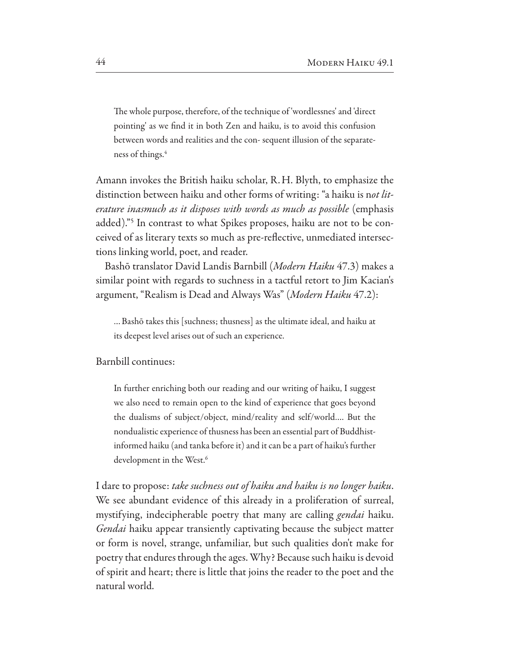The whole purpose, therefore, of the technique of 'wordlessnes' and 'direct pointing' as we find it in both Zen and haiku, is to avoid this confusion between words and realities and the con-sequent illusion of the separateness of things.<sup>4</sup>

Amann invokes the British haiku scholar, R. H. Blyth, to emphasize the distinction between haiku and other forms of writing: "a haiku is not literature inasmuch as it disposes with words as much as possible (emphasis added)."<sup>5</sup> In contrast to what Spikes proposes, haiku are not to be conceived of as literary texts so much as pre-reflective, unmediated intersections linking world, poet, and reader.

Bashō translator David Landis Barnbill (Modern Haiku 47.3) makes a similar point with regards to suchness in a tactful retort to Jim Kacian's argument, "Realism is Dead and Always Was" (Modern Haiku 47.2):

... Bashō takes this [suchness; thusness] as the ultimate ideal, and haiku at its deepest level arises out of such an experience.

Barnbill continues:

In further enriching both our reading and our writing of haiku, I suggest we also need to remain open to the kind of experience that goes beyond the dualisms of subject/object, mind/reality and self/world.... But the nondualistic experience of thusness has been an essential part of Buddhistinformed haiku (and tanka before it) and it can be a part of haiku's further development in the West.<sup>6</sup>

I dare to propose: take suchness out of haiku and haiku is no longer haiku. We see abundant evidence of this already in a proliferation of surreal, mystifying, indecipherable poetry that many are calling *gendai* haiku. *Gendai* haiku appear transiently captivating because the subject matter or form is novel, strange, unfamiliar, but such qualities don't make for poetry that endures through the ages. Why? Because such haiku is devoid of spirit and heart; there is little that joins the reader to the poet and the natural world.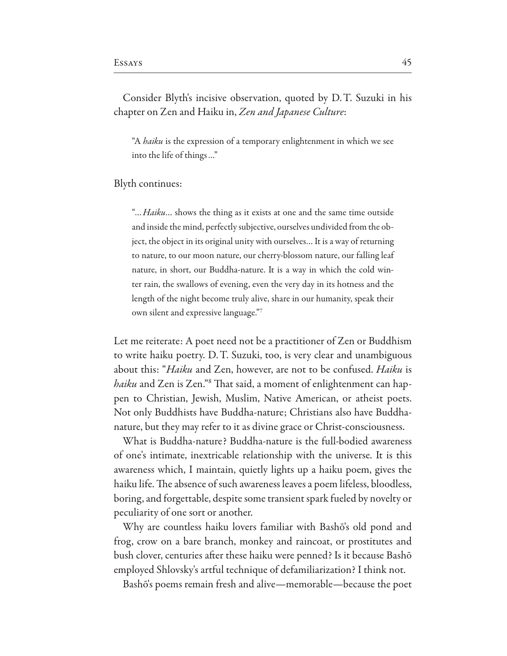Consider Blyth's incisive observation, quoted by D.T. Suzuki in his chapter on Zen and Haiku in, Zen and Japanese Culture:

"A *haiku* is the expression of a temporary enlightenment in which we see into the life of things..."

## Blyth continues:

"... Haiku... shows the thing as it exists at one and the same time outside and inside the mind, perfectly subjective, ourselves undivided from the object, the object in its original unity with ourselves... It is a way of returning to nature, to our moon nature, our cherry-blossom nature, our falling leaf nature, in short, our Buddha-nature. It is a way in which the cold winter rain, the swallows of evening, even the very day in its hotness and the length of the night become truly alive, share in our humanity, speak their own silent and expressive language."7

Let me reiterate: A poet need not be a practitioner of Zen or Buddhism to write haiku poetry. D.T. Suzuki, too, is very clear and unambiguous about this: "*Haiku* and Zen, however, are not to be confused. *Haiku* is haiku and Zen is Zen."8 That said, a moment of enlightenment can happen to Christian, Jewish, Muslim, Native American, or atheist poets. Not only Buddhists have Buddha-nature; Christians also have Buddhanature, but they may refer to it as divine grace or Christ-consciousness.

What is Buddha-nature? Buddha-nature is the full-bodied awareness of one's intimate, inextricable relationship with the universe. It is this awareness which, I maintain, quietly lights up a haiku poem, gives the haiku life. The absence of such awareness leaves a poem lifeless, bloodless, boring, and forgettable, despite some transient spark fueled by novelty or peculiarity of one sort or another.

Why are countless haiku lovers familiar with Bashō's old pond and frog, crow on a bare branch, monkey and raincoat, or prostitutes and bush clover, centuries after these haiku were penned? Is it because Bashō employed Shlovsky's artful technique of defamiliarization? I think not.

Bashō's poems remain fresh and alive—memorable—because the poet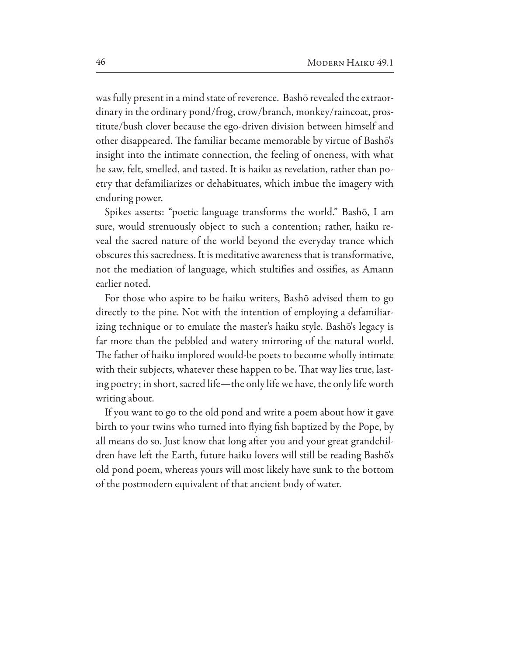was fully present in a mind state of reverence. Bashō revealed the extraordinary in the ordinary pond/frog, crow/branch, monkey/raincoat, prostitute/bush clover because the ego-driven division between himself and other disappeared. The familiar became memorable by virtue of Bashō's insight into the intimate connection, the feeling of oneness, with what he saw, felt, smelled, and tasted. It is haiku as revelation, rather than poetry that defamiliarizes or dehabituates, which imbue the imagery with enduring power.

Spikes asserts: "poetic language transforms the world." Bashō, I am sure, would strenuously object to such a contention; rather, haiku reveal the sacred nature of the world beyond the everyday trance which obscures this sacredness. It is meditative awareness that is transformative, not the mediation of language, which stultifies and ossifies, as Amann earlier noted.

For those who aspire to be haiku writers, Bashō advised them to go directly to the pine. Not with the intention of employing a defamiliarizing technique or to emulate the master's haiku style. Bashō's legacy is far more than the pebbled and watery mirroring of the natural world. The father of haiku implored would-be poets to become wholly intimate with their subjects, whatever these happen to be. That way lies true, lasting poetry; in short, sacred life—the only life we have, the only life worth writing about.

If you want to go to the old pond and write a poem about how it gave birth to your twins who turned into flying fish baptized by the Pope, by all means do so. Just know that long after you and your great grandchildren have left the Earth, future haiku lovers will still be reading Bashō's old pond poem, whereas yours will most likely have sunk to the bottom of the postmodern equivalent of that ancient body of water.